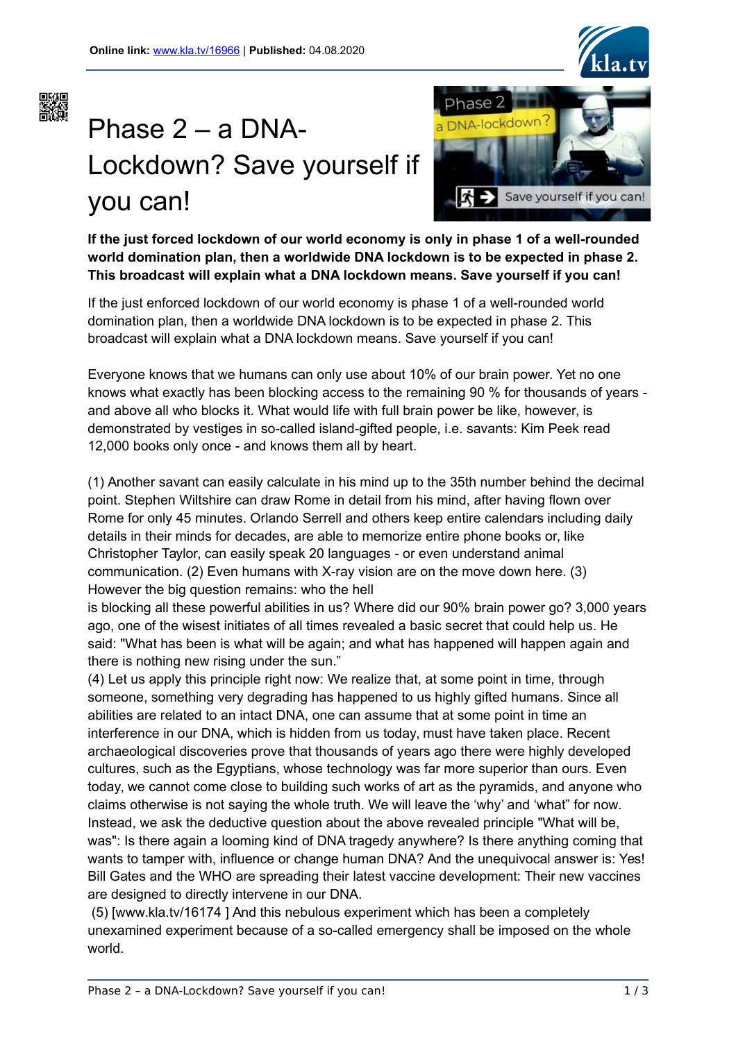



# Phase 2 – a DNA-Lockdown? Save yourself if you can!



**If the just forced lockdown of our world economy is only in phase 1 of a well-rounded world domination plan, then a worldwide DNA lockdown is to be expected in phase 2. This broadcast will explain what a DNA lockdown means. Save yourself if you can!**

If the just enforced lockdown of our world economy is phase 1 of a well-rounded world domination plan, then a worldwide DNA lockdown is to be expected in phase 2. This broadcast will explain what a DNA lockdown means. Save yourself if you can!

Everyone knows that we humans can only use about 10% of our brain power. Yet no one knows what exactly has been blocking access to the remaining 90 % for thousands of years and above all who blocks it. What would life with full brain power be like, however, is demonstrated by vestiges in so-called island-gifted people, i.e. savants: Kim Peek read 12,000 books only once - and knows them all by heart.

(1) Another savant can easily calculate in his mind up to the 35th number behind the decimal point. Stephen Wiltshire can draw Rome in detail from his mind, after having flown over Rome for only 45 minutes. Orlando Serrell and others keep entire calendars including daily details in their minds for decades, are able to memorize entire phone books or, like Christopher Taylor, can easily speak 20 languages - or even understand animal communication. (2) Even humans with X-ray vision are on the move down here. (3) However the big question remains: who the hell

is blocking all these powerful abilities in us? Where did our 90% brain power go? 3,000 years ago, one of the wisest initiates of all times revealed a basic secret that could help us. He said: "What has been is what will be again; and what has happened will happen again and there is nothing new rising under the sun."

(4) Let us apply this principle right now: We realize that, at some point in time, through someone, something very degrading has happened to us highly gifted humans. Since all abilities are related to an intact DNA, one can assume that at some point in time an interference in our DNA, which is hidden from us today, must have taken place. Recent archaeological discoveries prove that thousands of years ago there were highly developed cultures, such as the Egyptians, whose technology was far more superior than ours. Even today, we cannot come close to building such works of art as the pyramids, and anyone who claims otherwise is not saying the whole truth. We will leave the 'why' and 'what" for now. Instead, we ask the deductive question about the above revealed principle "What will be, was": Is there again a looming kind of DNA tragedy anywhere? Is there anything coming that wants to tamper with, influence or change human DNA? And the unequivocal answer is: Yes! Bill Gates and the WHO are spreading their latest vaccine development: Their new vaccines are designed to directly intervene in our DNA.

 (5) [www.kla.tv/16174 ] And this nebulous experiment which has been a completely unexamined experiment because of a so-called emergency shall be imposed on the whole world.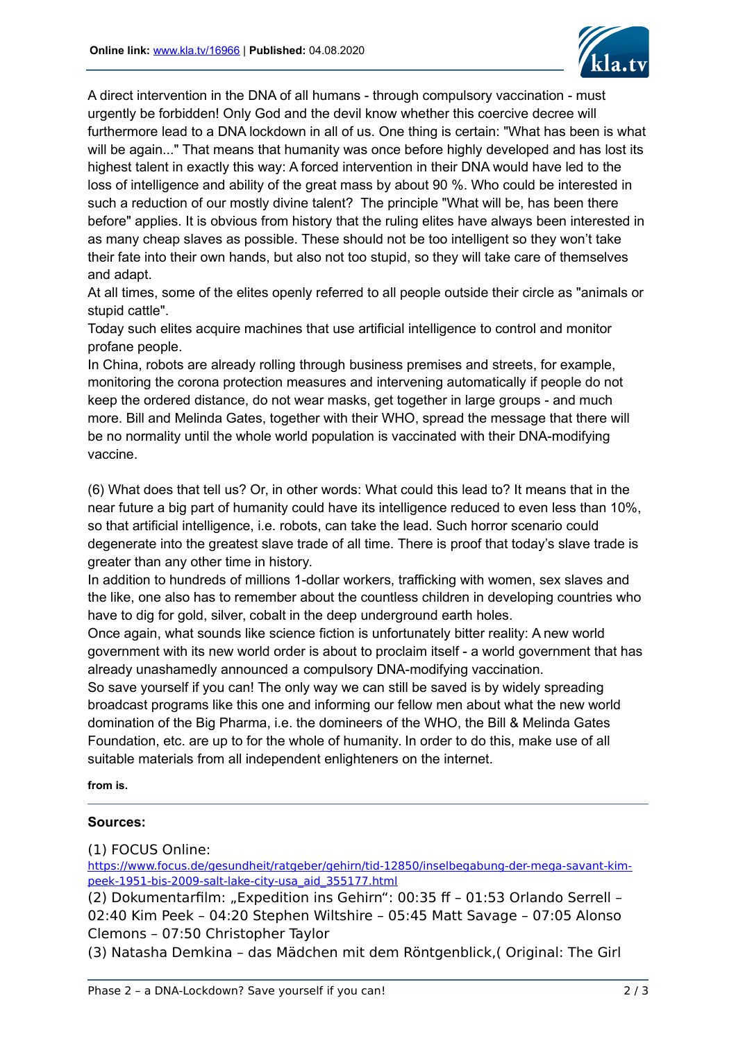

A direct intervention in the DNA of all humans - through compulsory vaccination - must urgently be forbidden! Only God and the devil know whether this coercive decree will furthermore lead to a DNA lockdown in all of us. One thing is certain: "What has been is what will be again..." That means that humanity was once before highly developed and has lost its highest talent in exactly this way: A forced intervention in their DNA would have led to the loss of intelligence and ability of the great mass by about 90 %. Who could be interested in such a reduction of our mostly divine talent? The principle "What will be, has been there before" applies. It is obvious from history that the ruling elites have always been interested in as many cheap slaves as possible. These should not be too intelligent so they won't take their fate into their own hands, but also not too stupid, so they will take care of themselves and adapt.

At all times, some of the elites openly referred to all people outside their circle as "animals or stupid cattle".

Today such elites acquire machines that use artificial intelligence to control and monitor profane people.

In China, robots are already rolling through business premises and streets, for example, monitoring the corona protection measures and intervening automatically if people do not keep the ordered distance, do not wear masks, get together in large groups - and much more. Bill and Melinda Gates, together with their WHO, spread the message that there will be no normality until the whole world population is vaccinated with their DNA-modifying vaccine.

(6) What does that tell us? Or, in other words: What could this lead to? It means that in the near future a big part of humanity could have its intelligence reduced to even less than 10%, so that artificial intelligence, i.e. robots, can take the lead. Such horror scenario could degenerate into the greatest slave trade of all time. There is proof that today's slave trade is greater than any other time in history.

In addition to hundreds of millions 1-dollar workers, trafficking with women, sex slaves and the like, one also has to remember about the countless children in developing countries who have to dig for gold, silver, cobalt in the deep underground earth holes.

Once again, what sounds like science fiction is unfortunately bitter reality: A new world government with its new world order is about to proclaim itself - a world government that has already unashamedly announced a compulsory DNA-modifying vaccination.

So save yourself if you can! The only way we can still be saved is by widely spreading broadcast programs like this one and informing our fellow men about what the new world domination of the Big Pharma, i.e. the domineers of the WHO, the Bill & Melinda Gates Foundation, etc. are up to for the whole of humanity. In order to do this, make use of all suitable materials from all independent enlighteners on the internet.

**from is.**

## **Sources:**

(1) FOCUS Online:

[https://www.focus.de/gesundheit/ratgeber/gehirn/tid-12850/inselbegabung-der-mega-savant-kim](https://www.focus.de/gesundheit/ratgeber/gehirn/tid-12850/inselbegabung-der-mega-savant-kim-peek-1951-bis-2009-salt-lake-city-usa_aid_355177.html)[peek-1951-bis-2009-salt-lake-city-usa\\_aid\\_355177.html](https://www.focus.de/gesundheit/ratgeber/gehirn/tid-12850/inselbegabung-der-mega-savant-kim-peek-1951-bis-2009-salt-lake-city-usa_aid_355177.html)

(2) Dokumentarfilm: "Expedition ins Gehirn": 00:35 ff - 01:53 Orlando Serrell -02:40 Kim Peek – 04:20 Stephen Wiltshire – 05:45 Matt Savage – 07:05 Alonso Clemons – 07:50 Christopher Taylor

(3) Natasha Demkina – das Mädchen mit dem Röntgenblick,( Original: The Girl